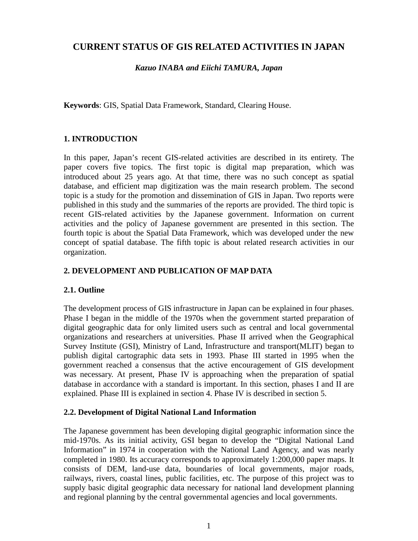# **CURRENT STATUS OF GIS RELATED ACTIVITIES IN JAPAN**

*Kazuo INABA and Eiichi TAMURA, Japan*

**Keywords**: GIS, Spatial Data Framework, Standard, Clearing House.

# **1. INTRODUCTION**

In this paper, Japan's recent GIS-related activities are described in its entirety. The paper covers five topics. The first topic is digital map preparation, which was introduced about 25 years ago. At that time, there was no such concept as spatial database, and efficient map digitization was the main research problem. The second topic is a study for the promotion and dissemination of GIS in Japan. Two reports were published in this study and the summaries of the reports are provided. The third topic is recent GIS-related activities by the Japanese government. Information on current activities and the policy of Japanese government are presented in this section. The fourth topic is about the Spatial Data Framework, which was developed under the new concept of spatial database. The fifth topic is about related research activities in our organization.

# **2. DEVELOPMENT AND PUBLICATION OF MAP DATA**

# **2.1. Outline**

The development process of GIS infrastructure in Japan can be explained in four phases. Phase I began in the middle of the 1970s when the government started preparation of digital geographic data for only limited users such as central and local governmental organizations and researchers at universities. Phase II arrived when the Geographical Survey Institute (GSI), Ministry of Land, Infrastructure and transport(MLIT) began to publish digital cartographic data sets in 1993. Phase III started in 1995 when the government reached a consensus that the active encouragement of GIS development was necessary. At present, Phase IV is approaching when the preparation of spatial database in accordance with a standard is important. In this section, phases I and II are explained. Phase III is explained in section 4. Phase IV is described in section 5.

#### **2.2. Development of Digital National Land Information**

The Japanese government has been developing digital geographic information since the mid-1970s. As its initial activity, GSI began to develop the "Digital National Land Information" in 1974 in cooperation with the National Land Agency, and was nearly completed in 1980. Its accuracy corresponds to approximately 1:200,000 paper maps. It consists of DEM, land-use data, boundaries of local governments, major roads, railways, rivers, coastal lines, public facilities, etc. The purpose of this project was to supply basic digital geographic data necessary for national land development planning and regional planning by the central governmental agencies and local governments.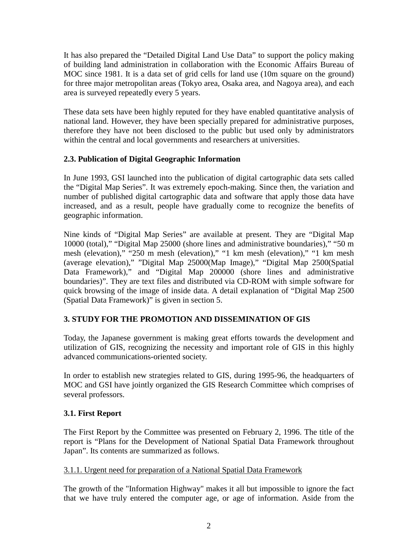It has also prepared the "Detailed Digital Land Use Data" to support the policy making of building land administration in collaboration with the Economic Affairs Bureau of MOC since 1981. It is a data set of grid cells for land use (10m square on the ground) for three major metropolitan areas (Tokyo area, Osaka area, and Nagoya area), and each area is surveyed repeatedly every 5 years.

These data sets have been highly reputed for they have enabled quantitative analysis of national land. However, they have been specially prepared for administrative purposes, therefore they have not been disclosed to the public but used only by administrators within the central and local governments and researchers at universities.

## **2.3. Publication of Digital Geographic Information**

In June 1993, GSI launched into the publication of digital cartographic data sets called the "Digital Map Series". It was extremely epoch-making. Since then, the variation and number of published digital cartographic data and software that apply those data have increased, and as a result, people have gradually come to recognize the benefits of geographic information.

Nine kinds of "Digital Map Series" are available at present. They are "Digital Map 10000 (total)," "Digital Map 25000 (shore lines and administrative boundaries)," "50 m mesh (elevation)," "250 m mesh (elevation)," "1 km mesh (elevation)," "1 km mesh (average elevation)," "Digital Map 25000(Map Image)," "Digital Map 2500(Spatial Data Framework)," and "Digital Map 200000 (shore lines and administrative boundaries)". They are text files and distributed via CD-ROM with simple software for quick browsing of the image of inside data. A detail explanation of "Digital Map 2500 (Spatial Data Framework)" is given in section 5.

# **3. STUDY FOR THE PROMOTION AND DISSEMINATION OF GIS**

Today, the Japanese government is making great efforts towards the development and utilization of GIS, recognizing the necessity and important role of GIS in this highly advanced communications-oriented society.

In order to establish new strategies related to GIS, during 1995-96, the headquarters of MOC and GSI have jointly organized the GIS Research Committee which comprises of several professors.

# **3.1. First Report**

The First Report by the Committee was presented on February 2, 1996. The title of the report is "Plans for the Development of National Spatial Data Framework throughout Japan". Its contents are summarized as follows.

#### 3.1.1. Urgent need for preparation of a National Spatial Data Framework

The growth of the "Information Highway" makes it all but impossible to ignore the fact that we have truly entered the computer age, or age of information. Aside from the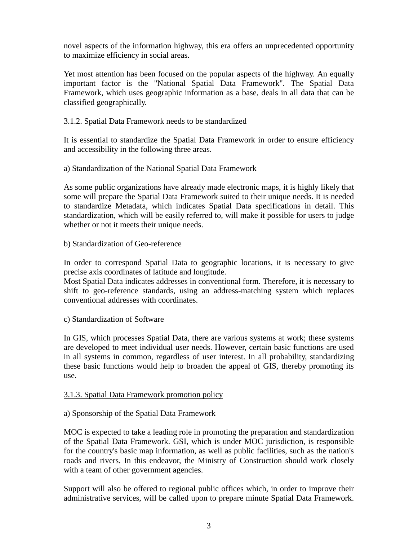novel aspects of the information highway, this era offers an unprecedented opportunity to maximize efficiency in social areas.

Yet most attention has been focused on the popular aspects of the highway. An equally important factor is the "National Spatial Data Framework". The Spatial Data Framework, which uses geographic information as a base, deals in all data that can be classified geographically.

#### 3.1.2. Spatial Data Framework needs to be standardized

It is essential to standardize the Spatial Data Framework in order to ensure efficiency and accessibility in the following three areas.

a) Standardization of the National Spatial Data Framework

As some public organizations have already made electronic maps, it is highly likely that some will prepare the Spatial Data Framework suited to their unique needs. It is needed to standardize Metadata, which indicates Spatial Data specifications in detail. This standardization, which will be easily referred to, will make it possible for users to judge whether or not it meets their unique needs.

#### b) Standardization of Geo-reference

In order to correspond Spatial Data to geographic locations, it is necessary to give precise axis coordinates of latitude and longitude.

Most Spatial Data indicates addresses in conventional form. Therefore, it is necessary to shift to geo-reference standards, using an address-matching system which replaces conventional addresses with coordinates.

c) Standardization of Software

In GIS, which processes Spatial Data, there are various systems at work; these systems are developed to meet individual user needs. However, certain basic functions are used in all systems in common, regardless of user interest. In all probability, standardizing these basic functions would help to broaden the appeal of GIS, thereby promoting its use.

#### 3.1.3. Spatial Data Framework promotion policy

#### a) Sponsorship of the Spatial Data Framework

MOC is expected to take a leading role in promoting the preparation and standardization of the Spatial Data Framework. GSI, which is under MOC jurisdiction, is responsible for the country's basic map information, as well as public facilities, such as the nation's roads and rivers. In this endeavor, the Ministry of Construction should work closely with a team of other government agencies.

Support will also be offered to regional public offices which, in order to improve their administrative services, will be called upon to prepare minute Spatial Data Framework.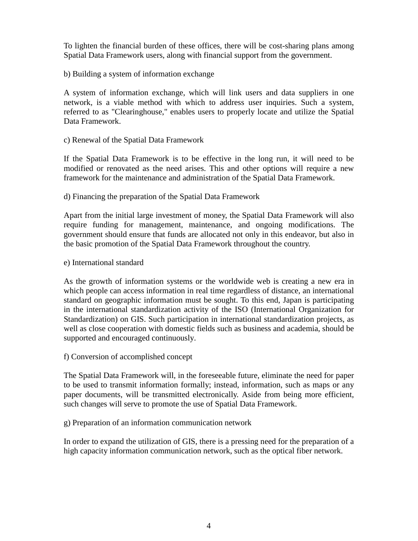To lighten the financial burden of these offices, there will be cost-sharing plans among Spatial Data Framework users, along with financial support from the government.

b) Building a system of information exchange

A system of information exchange, which will link users and data suppliers in one network, is a viable method with which to address user inquiries. Such a system, referred to as "Clearinghouse," enables users to properly locate and utilize the Spatial Data Framework.

#### c) Renewal of the Spatial Data Framework

If the Spatial Data Framework is to be effective in the long run, it will need to be modified or renovated as the need arises. This and other options will require a new framework for the maintenance and administration of the Spatial Data Framework.

#### d) Financing the preparation of the Spatial Data Framework

Apart from the initial large investment of money, the Spatial Data Framework will also require funding for management, maintenance, and ongoing modifications. The government should ensure that funds are allocated not only in this endeavor, but also in the basic promotion of the Spatial Data Framework throughout the country.

#### e) International standard

As the growth of information systems or the worldwide web is creating a new era in which people can access information in real time regardless of distance, an international standard on geographic information must be sought. To this end, Japan is participating in the international standardization activity of the ISO (International Organization for Standardization) on GIS. Such participation in international standardization projects, as well as close cooperation with domestic fields such as business and academia, should be supported and encouraged continuously.

f) Conversion of accomplished concept

The Spatial Data Framework will, in the foreseeable future, eliminate the need for paper to be used to transmit information formally; instead, information, such as maps or any paper documents, will be transmitted electronically. Aside from being more efficient, such changes will serve to promote the use of Spatial Data Framework.

g) Preparation of an information communication network

In order to expand the utilization of GIS, there is a pressing need for the preparation of a high capacity information communication network, such as the optical fiber network.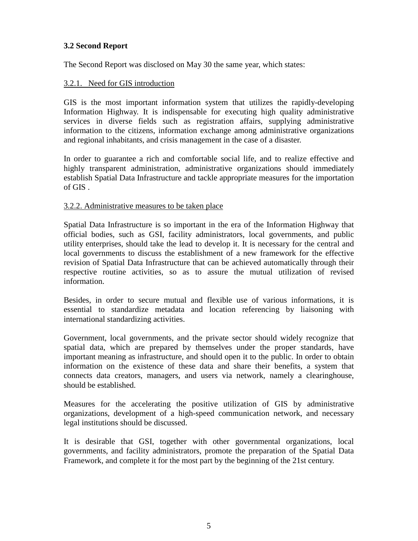## **3.2 Second Report**

The Second Report was disclosed on May 30 the same year, which states:

## 3.2.1. Need for GIS introduction

GIS is the most important information system that utilizes the rapidly-developing Information Highway. It is indispensable for executing high quality administrative services in diverse fields such as registration affairs, supplying administrative information to the citizens, information exchange among administrative organizations and regional inhabitants, and crisis management in the case of a disaster.

In order to guarantee a rich and comfortable social life, and to realize effective and highly transparent administration, administrative organizations should immediately establish Spatial Data Infrastructure and tackle appropriate measures for the importation of GIS .

#### 3.2.2. Administrative measures to be taken place

Spatial Data Infrastructure is so important in the era of the Information Highway that official bodies, such as GSI, facility administrators, local governments, and public utility enterprises, should take the lead to develop it. It is necessary for the central and local governments to discuss the establishment of a new framework for the effective revision of Spatial Data Infrastructure that can be achieved automatically through their respective routine activities, so as to assure the mutual utilization of revised information.

Besides, in order to secure mutual and flexible use of various informations, it is essential to standardize metadata and location referencing by liaisoning with international standardizing activities.

Government, local governments, and the private sector should widely recognize that spatial data, which are prepared by themselves under the proper standards, have important meaning as infrastructure, and should open it to the public. In order to obtain information on the existence of these data and share their benefits, a system that connects data creators, managers, and users via network, namely a clearinghouse, should be established.

Measures for the accelerating the positive utilization of GIS by administrative organizations, development of a high-speed communication network, and necessary legal institutions should be discussed.

It is desirable that GSI, together with other governmental organizations, local governments, and facility administrators, promote the preparation of the Spatial Data Framework, and complete it for the most part by the beginning of the 21st century.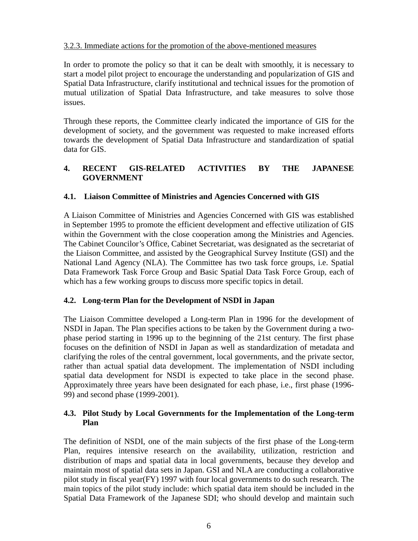## 3.2.3. Immediate actions for the promotion of the above-mentioned measures

In order to promote the policy so that it can be dealt with smoothly, it is necessary to start a model pilot project to encourage the understanding and popularization of GIS and Spatial Data Infrastructure, clarify institutional and technical issues for the promotion of mutual utilization of Spatial Data Infrastructure, and take measures to solve those issues.

Through these reports, the Committee clearly indicated the importance of GIS for the development of society, and the government was requested to make increased efforts towards the development of Spatial Data Infrastructure and standardization of spatial data for GIS.

# **4. RECENT GIS-RELATED ACTIVITIES BY THE JAPANESE GOVERNMENT**

## **4.1. Liaison Committee of Ministries and Agencies Concerned with GIS**

A Liaison Committee of Ministries and Agencies Concerned with GIS was established in September 1995 to promote the efficient development and effective utilization of GIS within the Government with the close cooperation among the Ministries and Agencies. The Cabinet Councilor's Office, Cabinet Secretariat, was designated as the secretariat of the Liaison Committee, and assisted by the Geographical Survey Institute (GSI) and the National Land Agency (NLA). The Committee has two task force groups, i.e. Spatial Data Framework Task Force Group and Basic Spatial Data Task Force Group, each of which has a few working groups to discuss more specific topics in detail.

#### **4.2. Long-term Plan for the Development of NSDI in Japan**

The Liaison Committee developed a Long-term Plan in 1996 for the development of NSDI in Japan. The Plan specifies actions to be taken by the Government during a twophase period starting in 1996 up to the beginning of the 21st century. The first phase focuses on the definition of NSDI in Japan as well as standardization of metadata and clarifying the roles of the central government, local governments, and the private sector, rather than actual spatial data development. The implementation of NSDI including spatial data development for NSDI is expected to take place in the second phase. Approximately three years have been designated for each phase, i.e., first phase (1996- 99) and second phase (1999-2001).

# **4.3. Pilot Study by Local Governments for the Implementation of the Long-term Plan**

The definition of NSDI, one of the main subjects of the first phase of the Long-term Plan, requires intensive research on the availability, utilization, restriction and distribution of maps and spatial data in local governments, because they develop and maintain most of spatial data sets in Japan. GSI and NLA are conducting a collaborative pilot study in fiscal year(FY) 1997 with four local governments to do such research. The main topics of the pilot study include: which spatial data item should be included in the Spatial Data Framework of the Japanese SDI; who should develop and maintain such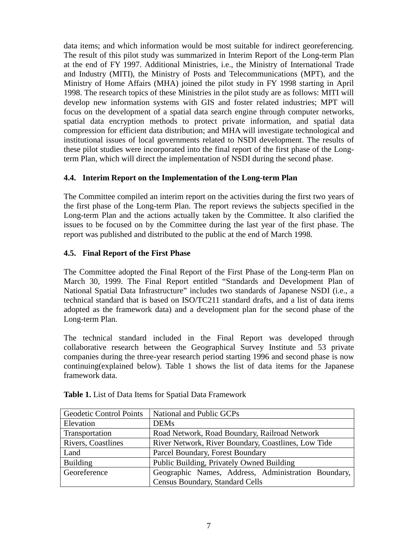data items; and which information would be most suitable for indirect georeferencing. The result of this pilot study was summarized in Interim Report of the Long-term Plan at the end of FY 1997. Additional Ministries, i.e., the Ministry of International Trade and Industry (MITI), the Ministry of Posts and Telecommunications (MPT), and the Ministry of Home Affairs (MHA) joined the pilot study in FY 1998 starting in April 1998. The research topics of these Ministries in the pilot study are as follows: MITI will develop new information systems with GIS and foster related industries; MPT will focus on the development of a spatial data search engine through computer networks, spatial data encryption methods to protect private information, and spatial data compression for efficient data distribution; and MHA will investigate technological and institutional issues of local governments related to NSDI development. The results of these pilot studies were incorporated into the final report of the first phase of the Longterm Plan, which will direct the implementation of NSDI during the second phase.

# **4.4. Interim Report on the Implementation of the Long-term Plan**

The Committee compiled an interim report on the activities during the first two years of the first phase of the Long-term Plan. The report reviews the subjects specified in the Long-term Plan and the actions actually taken by the Committee. It also clarified the issues to be focused on by the Committee during the last year of the first phase. The report was published and distributed to the public at the end of March 1998.

# **4.5. Final Report of the First Phase**

The Committee adopted the Final Report of the First Phase of the Long-term Plan on March 30, 1999. The Final Report entitled "Standards and Development Plan of National Spatial Data Infrastructure" includes two standards of Japanese NSDI (i.e., a technical standard that is based on ISO/TC211 standard drafts, and a list of data items adopted as the framework data) and a development plan for the second phase of the Long-term Plan.

The technical standard included in the Final Report was developed through collaborative research between the Geographical Survey Institute and 53 private companies during the three-year research period starting 1996 and second phase is now continuing(explained below). Table 1 shows the list of data items for the Japanese framework data.

| <b>Geodetic Control Points</b> | National and Public GCPs                            |  |
|--------------------------------|-----------------------------------------------------|--|
| Elevation                      | <b>DEMs</b>                                         |  |
| Transportation                 | Road Network, Road Boundary, Railroad Network       |  |
| Rivers, Coastlines             | River Network, River Boundary, Coastlines, Low Tide |  |
| Land                           | Parcel Boundary, Forest Boundary                    |  |
| <b>Building</b>                | Public Building, Privately Owned Building           |  |
| Georeference                   | Geographic Names, Address, Administration Boundary, |  |
|                                | Census Boundary, Standard Cells                     |  |

| <b>Table 1.</b> List of Data Items for Spatial Data Framework |
|---------------------------------------------------------------|
|---------------------------------------------------------------|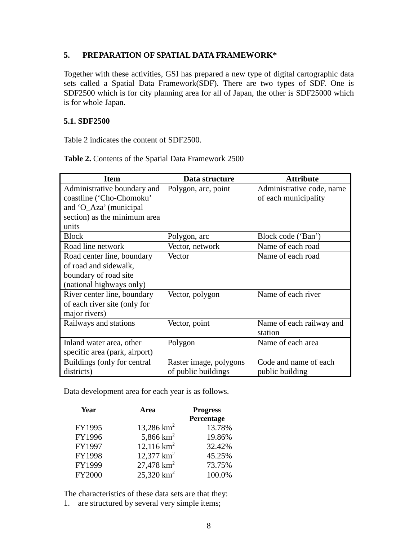## **5. PREPARATION OF SPATIAL DATA FRAMEWORK\***

Together with these activities, GSI has prepared a new type of digital cartographic data sets called a Spatial Data Framework(SDF). There are two types of SDF. One is SDF2500 which is for city planning area for all of Japan, the other is SDF25000 which is for whole Japan.

#### **5.1. SDF2500**

Table 2 indicates the content of SDF2500.

| <b>Item</b>                   | Data structure         | <b>Attribute</b>          |
|-------------------------------|------------------------|---------------------------|
| Administrative boundary and   | Polygon, arc, point    | Administrative code, name |
| coastline ('Cho-Chomoku'      |                        | of each municipality      |
| and 'O_Aza' (municipal        |                        |                           |
| section) as the minimum area  |                        |                           |
| units                         |                        |                           |
| <b>Block</b>                  | Polygon, arc           | Block code ('Ban')        |
| Road line network             | Vector, network        | Name of each road         |
| Road center line, boundary    | Vector                 | Name of each road         |
| of road and sidewalk,         |                        |                           |
| boundary of road site         |                        |                           |
| (national highways only)      |                        |                           |
| River center line, boundary   | Vector, polygon        | Name of each river        |
| of each river site (only for  |                        |                           |
| major rivers)                 |                        |                           |
| Railways and stations         | Vector, point          | Name of each railway and  |
|                               |                        | station                   |
| Inland water area, other      | Polygon                | Name of each area         |
| specific area (park, airport) |                        |                           |
| Buildings (only for central   | Raster image, polygons | Code and name of each     |
| districts)                    | of public buildings    | public building           |

Table 2. Contents of the Spatial Data Framework 2500

Data development area for each year is as follows.

| Year          | Area                     | <b>Progress</b> |
|---------------|--------------------------|-----------------|
|               |                          | Percentage      |
| FY1995        | 13,286 $km^2$            | 13.78%          |
| FY1996        | 5,866 $km^2$             | 19.86%          |
| FY1997        | 12,116 $km^2$            | 32.42%          |
| FY1998        | 12,377 $km^2$            | 45.25%          |
| FY1999        | $27,478$ km <sup>2</sup> | 73.75%          |
| <b>FY2000</b> | $25,320$ km <sup>2</sup> | 100.0%          |

The characteristics of these data sets are that they:

1. are structured by several very simple items;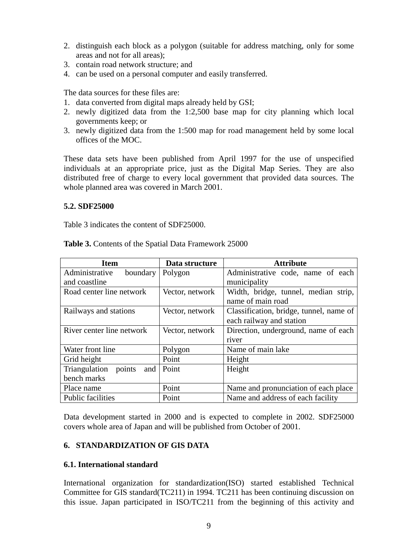- 2. distinguish each block as a polygon (suitable for address matching, only for some areas and not for all areas);
- 3. contain road network structure; and
- 4. can be used on a personal computer and easily transferred.

The data sources for these files are:

- 1. data converted from digital maps already held by GSI;
- 2. newly digitized data from the 1:2,500 base map for city planning which local governments keep; or
- 3. newly digitized data from the 1:500 map for road management held by some local offices of the MOC.

These data sets have been published from April 1997 for the use of unspecified individuals at an appropriate price, just as the Digital Map Series. They are also distributed free of charge to every local government that provided data sources. The whole planned area was covered in March 2001.

#### **5.2. SDF25000**

Table 3 indicates the content of SDF25000.

| <b>Item</b>                    | Data structure  | <b>Attribute</b>                        |
|--------------------------------|-----------------|-----------------------------------------|
| Administrative<br>boundary     | Polygon         | Administrative code, name of each       |
| and coastline                  |                 | municipality                            |
| Road center line network       | Vector, network | Width, bridge, tunnel, median strip,    |
|                                |                 | name of main road                       |
| Railways and stations          | Vector, network | Classification, bridge, tunnel, name of |
|                                |                 | each railway and station                |
| River center line network      | Vector, network | Direction, underground, name of each    |
|                                |                 | river                                   |
| Water front line               | Polygon         | Name of main lake                       |
| Grid height                    | Point           | Height                                  |
| points<br>Triangulation<br>and | Point           | Height                                  |
| bench marks                    |                 |                                         |
| Place name                     | Point           | Name and pronunciation of each place    |
| Public facilities              | Point           | Name and address of each facility       |

**Table 3.** Contents of the Spatial Data Framework 25000

Data development started in 2000 and is expected to complete in 2002. SDF25000 covers whole area of Japan and will be published from October of 2001.

#### **6. STANDARDIZATION OF GIS DATA**

#### **6.1. International standard**

International organization for standardization(ISO) started established Technical Committee for GIS standard(TC211) in 1994. TC211 has been continuing discussion on this issue. Japan participated in ISO/TC211 from the beginning of this activity and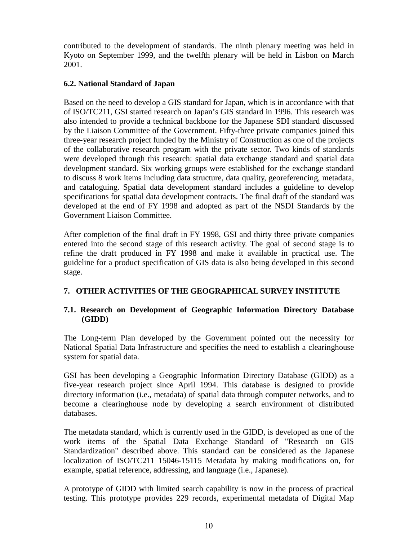contributed to the development of standards. The ninth plenary meeting was held in Kyoto on September 1999, and the twelfth plenary will be held in Lisbon on March 2001.

# **6.2. National Standard of Japan**

Based on the need to develop a GIS standard for Japan, which is in accordance with that of ISO/TC211, GSI started research on Japan's GIS standard in 1996. This research was also intended to provide a technical backbone for the Japanese SDI standard discussed by the Liaison Committee of the Government. Fifty-three private companies joined this three-year research project funded by the Ministry of Construction as one of the projects of the collaborative research program with the private sector. Two kinds of standards were developed through this research: spatial data exchange standard and spatial data development standard. Six working groups were established for the exchange standard to discuss 8 work items including data structure, data quality, georeferencing, metadata, and cataloguing. Spatial data development standard includes a guideline to develop specifications for spatial data development contracts. The final draft of the standard was developed at the end of FY 1998 and adopted as part of the NSDI Standards by the Government Liaison Committee.

After completion of the final draft in FY 1998, GSI and thirty three private companies entered into the second stage of this research activity. The goal of second stage is to refine the draft produced in FY 1998 and make it available in practical use. The guideline for a product specification of GIS data is also being developed in this second stage.

# **7. OTHER ACTIVITIES OF THE GEOGRAPHICAL SURVEY INSTITUTE**

# **7.1. Research on Development of Geographic Information Directory Database (GIDD)**

The Long-term Plan developed by the Government pointed out the necessity for National Spatial Data Infrastructure and specifies the need to establish a clearinghouse system for spatial data.

GSI has been developing a Geographic Information Directory Database (GIDD) as a five-year research project since April 1994. This database is designed to provide directory information (i.e., metadata) of spatial data through computer networks, and to become a clearinghouse node by developing a search environment of distributed databases.

The metadata standard, which is currently used in the GIDD, is developed as one of the work items of the Spatial Data Exchange Standard of "Research on GIS Standardization" described above. This standard can be considered as the Japanese localization of ISO/TC211 15046-15115 Metadata by making modifications on, for example, spatial reference, addressing, and language (i.e., Japanese).

A prototype of GIDD with limited search capability is now in the process of practical testing. This prototype provides 229 records, experimental metadata of Digital Map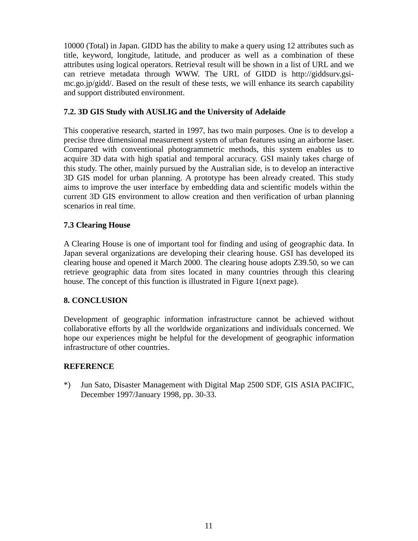10000 (Total) in Japan. GIDD has the ability to make a query using 12 attributes such as title, keyword, longitude, latitude, and producer as well as a combination of these attributes using logical operators. Retrieval result will be shown in a list of URL and we can retrieve metadata through WWW. The URL of GIDD is http://giddsurv.gsimc.go.jp/gidd/. Based on the result of these tests, we will enhance its search capability and support distributed environment.

## **7.2. 3D GIS Study with AUSLIG and the University of Adelaide**

This cooperative research, started in 1997, has two main purposes. One is to develop a precise three dimensional measurement system of urban features using an airborne laser. Compared with conventional photogrammetric methods, this system enables us to acquire 3D data with high spatial and temporal accuracy. GSI mainly takes charge of this study. The other, mainly pursued by the Australian side, is to develop an interactive 3D GIS model for urban planning. A prototype has been already created. This study aims to improve the user interface by embedding data and scientific models within the current 3D GIS environment to allow creation and then verification of urban planning scenarios in real time.

## **7.3 Clearing House**

A Clearing House is one of important tool for finding and using of geographic data. In Japan several organizations are developing their clearing house. GSI has developed its clearing house and opened it March 2000. The clearing house adopts Z39.50, so we can retrieve geographic data from sites located in many countries through this clearing house. The concept of this function is illustrated in Figure 1(next page).

# **8. CONCLUSION**

Development of geographic information infrastructure cannot be achieved without collaborative efforts by all the worldwide organizations and individuals concerned. We hope our experiences might be helpful for the development of geographic information infrastructure of other countries.

# **REFERENCE**

\*) Jun Sato, Disaster Management with Digital Map 2500 SDF, GIS ASIA PACIFIC, December 1997/January 1998, pp. 30-33.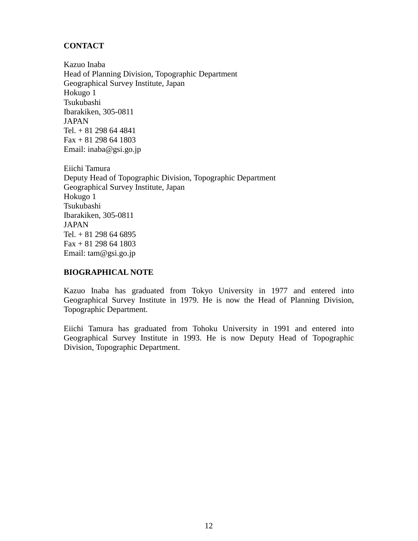# **CONTACT**

Kazuo Inaba Head of Planning Division, Topographic Department Geographical Survey Institute, Japan Hokugo 1 Tsukubashi Ibarakiken, 305-0811 JAPAN Tel. + 81 298 64 4841 Fax + 81 298 64 1803 Email: inaba@gsi.go.jp

Eiichi Tamura Deputy Head of Topographic Division, Topographic Department Geographical Survey Institute, Japan Hokugo 1 Tsukubashi Ibarakiken, 305-0811 JAPAN Tel. + 81 298 64 6895 Fax + 81 298 64 1803 Email: tam@gsi.go.jp

## **BIOGRAPHICAL NOTE**

Kazuo Inaba has graduated from Tokyo University in 1977 and entered into Geographical Survey Institute in 1979. He is now the Head of Planning Division, Topographic Department.

Eiichi Tamura has graduated from Tohoku University in 1991 and entered into Geographical Survey Institute in 1993. He is now Deputy Head of Topographic Division, Topographic Department.